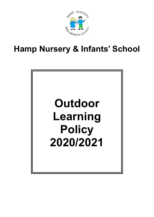

Hamp Nursery & Infants' School

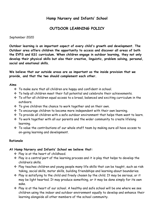# Hamp Nursery and Infants' School

# OUTDOOR LEARNING POLICY

September 2020

Outdoor learning is an important aspect of every child's growth and development. The Outdoor area offers children the opportunity to access and discover all areas of both the EYFS and KS1 curriculum. When children engage in outdoor learning, they not only develop their physical skills but also their creative, linguistic, problem solving, personal, social and emotional skills.

We believe that our outside areas are as important as the inside provision that we provide, and that the two should complement each other.

#### Aims

- \* To make sure that all children are happy and confident in school.
- $\cdot$  To help all children meet their full potential and celebrate their achievements.
- To offer all children equal access to a broad, balanced and exciting curriculum in the outdoors.
- \* To give children the chance to work together and on their own.
- \* To encourage children to become more independent with their own learning.
- To provide all children with a safe outdoor environment that helps them want to learn.
- \* To work together with all our parents and the wider community to create lifelong learning.
- \* To value the contributions of our whole staff team by making sure all have access to on-going learning and development.

# Rationale

#### At Hamp Nursery and Infants' School we believe that:

- Play is at the heart of childhood.
- $\cdot$  Play is a central part of the learning process and it is play that helps to develop the children's skills.
- Play teaches children and young people many life skills that can be taught, such as risk taking, social skills, motor skills, building friendships and learning about boundaries.
- Play is satisfying to the child and freely chosen by the child. It may be serious, or it may be light hearted. It may produce something, or it may be done simply for its own sake.
- $\cdot$  Play is at the heart of our school. A healthy and safe school will be one where we see children using the indoor and outdoor environment equally to develop and enhance their learning alongside all other members of the school community.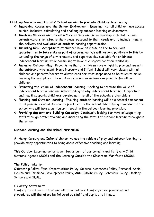# At Hamp Nursery and Infants' School we aim to promote Outdoor learning by:

- Improving Access and the School Environment: Ensuring that all children have access to rich, inclusive, stimulating and challenging outdoor learning environments.
- Involving Children and Parents/Carers: Working in partnership with children and parents/carers to listen to their views, respond to their needs and to include them in the delivery and evaluation of outdoor learning opportunities.
- Including Risk: Accepting that children have an innate desire to seek out opportunities to take risks as part of growing up. We will respond positively to this by extending the range of environments and opportunities available for children's independent learning while continuing to have due regard for their wellbeing.
- \* Inclusive Outdoor Play: Recognising that all children have a right to play and learn in the outdoor environment. Hamp Nursery and Infant School will work closely with all children and parents/carers to always consider what steps need to be taken to make learning through play in the outdoor provision as inclusive as possible for all our children.
- $\div$  Promoting the Value of independent learning: Seeking to promote the value of independent learning and an understanding of why independent learning is important and how it supports children's development to all of the school's stakeholders.
- Planning and Outdoor learning: Ensuring outdoor learning will be a central component of all planning related documents produced by the school. Identifying a member of the school who will take a particular interest in the outdoor learning provision.
- Providing Support and Building Capacity: Continually looking for ways of supporting staff through better training and increasing the status of outdoor learning throughout the school.

# Outdoor learning and the school curriculum

At Hamp Nursery and Infants' School we use the vehicle of play and outdoor learning to provide many opportunities to bring about effective teaching and learning.

This Outdoor Learning policy is written as part of our commitment to: 'Every Child Matters' Agenda (2003) and the Learning Outside the Classroom Manifesto (2006).

# The Policy links to:

Citizenship Policy, Equal Opportunities Policy, Cultural Awareness Policy, Personal, Social, Health and Emotional Development Policy, Anti-Bullying Policy, Behaviour Policy, Healthy Schools and SEAL.

# E Safety Statement

E safety forms part of this, and all other policies. E safety rules, practices and procedures will therefore be followed by staff and pupils at all times.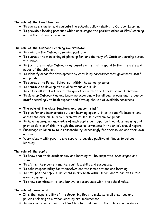### The role of the Head teacher:

- To oversee, monitor and evaluate the school's policy relating to Outdoor Learning.
- To provide a leading presence which encourages the positive ethos of Play/Learning within the outdoor environment.

# The role of the Outdoor Learning Co-ordinator:

- To maintain the Outdoor Learning portfolio.
- \* To oversee the monitoring of planning for, and delivery of, Outdoor Learning across the school.
- \* To facilitate regular Outdoor Play based events that respond to the interests and needs of the children.
- To identify areas for development by consulting parents/carers, governors, staff and pupils.
- \* To oversee the Forest School set within the school grounds.
- \* To continue to develop own qualifications and skills.
- \* To ensure all staff adhere to the quidelines within the Forest School Handbook.
- \* To develop Outdoor Play and Learning accordingly for all year groups and to deploy staff accordingly to both support and develop the use of available resources.

# $\div$  The role of the class teachers and support staff:

- To plan for and incorporate outdoor learning opportunities in specific lessons, and across the curriculum, which promote raised self-esteem for pupils.
- To have an on-going knowledge of each pupil's participation in outdoor learning and provide details of this through the personal comments in the child's annual report.
- Encourage children to take responsibility increasingly for themselves and their own actions.
- Work closely with parents and carers to develop positive attitudes to outdoor learning.

# The role of the pupils:

- \* To know that their outdoor play and learning will be supported, encouraged and valued.
- \* To affirm their own strengths, qualities, skills and successes.
- \* To take responsibility for themselves and their own actions and learning.
- To act upon and apply skills learnt in play both within school and their lives in the wider community.
- $\cdot$  To show commitment to, and behave in accordance with, the school rules.

# The role of governors:

- \* It is the responsibility of the Governing Body to make sure all practices and policies relating to outdoor learning are implemented.
- $\cdot$  To receive reports from the Head teacher and monitor the policy in accordance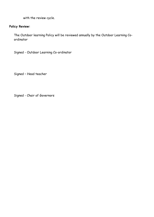with the review cycle.

# Policy Review:

The Outdoor learning Policy will be reviewed annually by the Outdoor Learning Coordinator

Signed - Outdoor Learning Co-ordinator

Signed – Head teacher

Signed - Chair of Governors